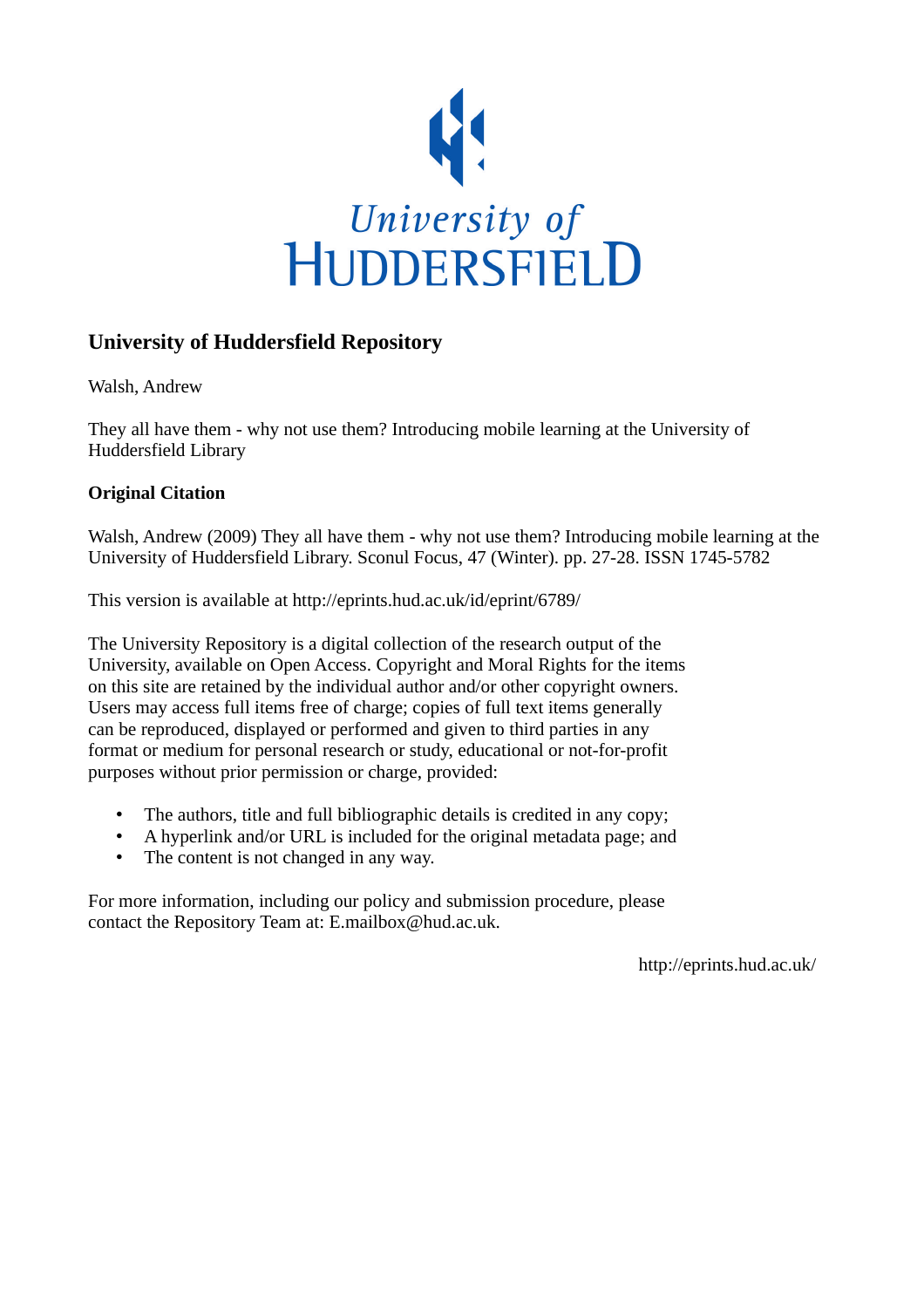

# **University of Huddersfield Repository**

Walsh, Andrew

They all have them - why not use them? Introducing mobile learning at the University of Huddersfield Library

# **Original Citation**

Walsh, Andrew (2009) They all have them - why not use them? Introducing mobile learning at the University of Huddersfield Library. Sconul Focus, 47 (Winter). pp. 27-28. ISSN 1745-5782

This version is available at http://eprints.hud.ac.uk/id/eprint/6789/

The University Repository is a digital collection of the research output of the University, available on Open Access. Copyright and Moral Rights for the items on this site are retained by the individual author and/or other copyright owners. Users may access full items free of charge; copies of full text items generally can be reproduced, displayed or performed and given to third parties in any format or medium for personal research or study, educational or not-for-profit purposes without prior permission or charge, provided:

- The authors, title and full bibliographic details is credited in any copy;
- A hyperlink and/or URL is included for the original metadata page; and
- The content is not changed in any way.

For more information, including our policy and submission procedure, please contact the Repository Team at: E.mailbox@hud.ac.uk.

http://eprints.hud.ac.uk/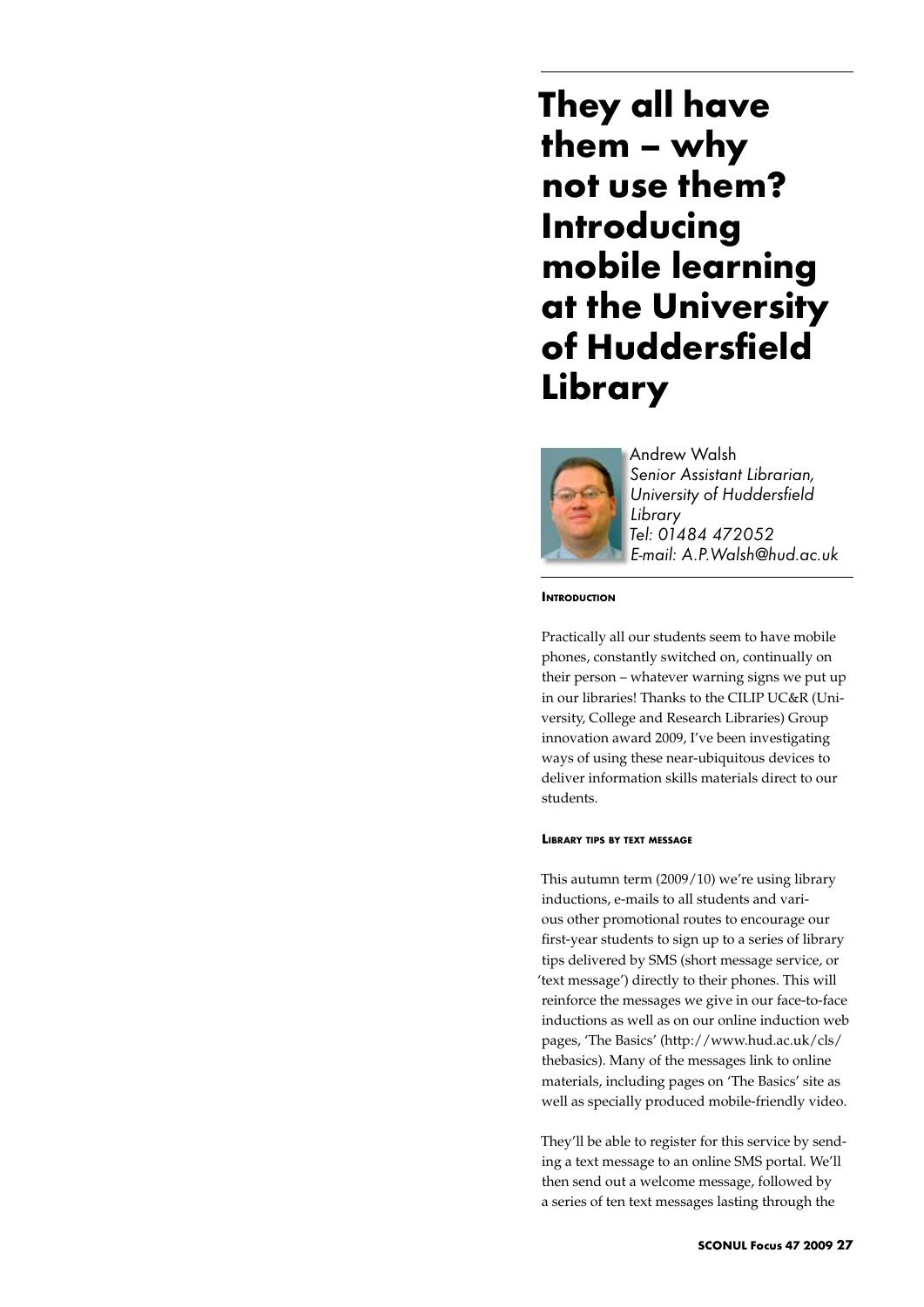**They all have them – why not use them? Introducing mobile learning at the University of Huddersfield Library**



Andrew Walsh *Senior Assistant Librarian, University of Huddersfield Library Tel: 01484 472052 E-mail: A.P.Walsh@hud.ac.uk* 

### **INTRODUCTION**

Practically all our students seem to have mobile phones, constantly switched on, continually on their person – whatever warning signs we put up in our libraries! Thanks to the CILIP UC&R (University, College and Research Libraries) Group innovation award 2009, I've been investigating ways of using these near-ubiquitous devices to deliver information skills materials direct to our students.

# **Library tips by text message**

This autumn term (2009/10) we're using library inductions, e-mails to all students and various other promotional routes to encourage our first-year students to sign up to a series of library tips delivered by SMS (short message service, or 'text message') directly to their phones. This will reinforce the messages we give in our face-to-face inductions as well as on our online induction web pages, 'The Basics' (http://www.hud.ac.uk/cls/ thebasics). Many of the messages link to online materials, including pages on 'The Basics' site as well as specially produced mobile-friendly video.

They'll be able to register for this service by sending a text message to an online SMS portal. We'll then send out a welcome message, followed by a series of ten text messages lasting through the